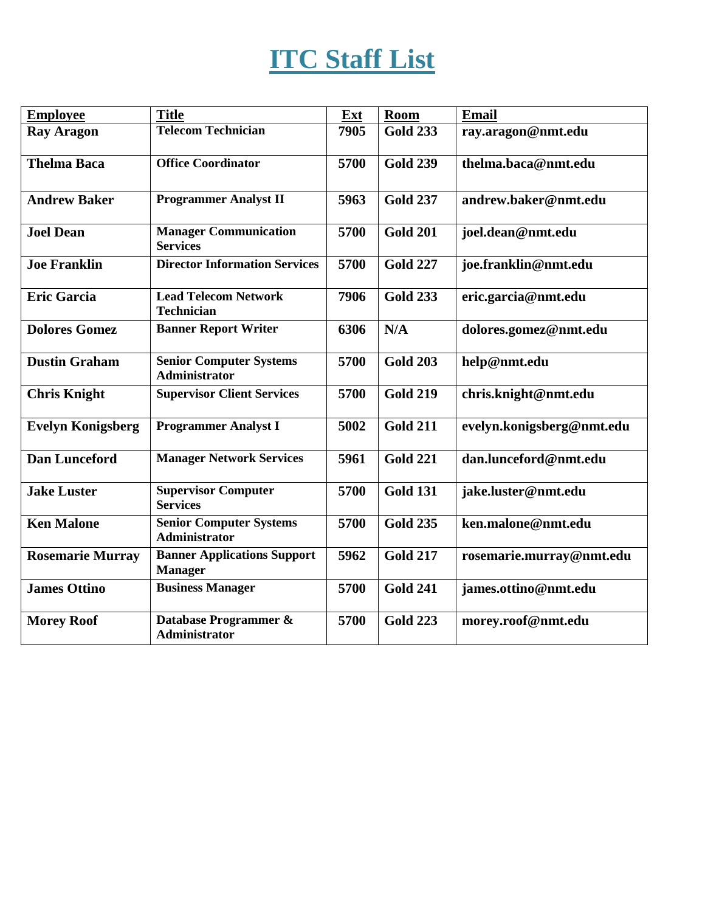## **ITC Staff List**

| <b>Employee</b>          | <b>Title</b>                                         | Ext  | Room            | <b>Email</b>              |
|--------------------------|------------------------------------------------------|------|-----------------|---------------------------|
| <b>Ray Aragon</b>        | <b>Telecom Technician</b>                            | 7905 | <b>Gold 233</b> | ray.aragon@nmt.edu        |
| <b>Thelma Baca</b>       | <b>Office Coordinator</b>                            | 5700 | <b>Gold 239</b> | thelma.baca@nmt.edu       |
| <b>Andrew Baker</b>      | <b>Programmer Analyst II</b>                         | 5963 | <b>Gold 237</b> | andrew.baker@nmt.edu      |
| <b>Joel Dean</b>         | <b>Manager Communication</b><br><b>Services</b>      | 5700 | <b>Gold 201</b> | joel.dean@nmt.edu         |
| <b>Joe Franklin</b>      | <b>Director Information Services</b>                 | 5700 | <b>Gold 227</b> | joe.franklin@nmt.edu      |
| <b>Eric Garcia</b>       | <b>Lead Telecom Network</b><br><b>Technician</b>     | 7906 | <b>Gold 233</b> | eric.garcia@nmt.edu       |
| <b>Dolores Gomez</b>     | <b>Banner Report Writer</b>                          | 6306 | N/A             | dolores.gomez@nmt.edu     |
| <b>Dustin Graham</b>     | <b>Senior Computer Systems</b><br>Administrator      | 5700 | <b>Gold 203</b> | help@nmt.edu              |
| <b>Chris Knight</b>      | <b>Supervisor Client Services</b>                    | 5700 | <b>Gold 219</b> | chris.knight@nmt.edu      |
| <b>Evelyn Konigsberg</b> | <b>Programmer Analyst I</b>                          | 5002 | <b>Gold 211</b> | evelyn.konigsberg@nmt.edu |
| <b>Dan Lunceford</b>     | <b>Manager Network Services</b>                      | 5961 | <b>Gold 221</b> | dan.lunceford@nmt.edu     |
| <b>Jake Luster</b>       | <b>Supervisor Computer</b><br><b>Services</b>        | 5700 | <b>Gold 131</b> | jake.luster@nmt.edu       |
| <b>Ken Malone</b>        | <b>Senior Computer Systems</b><br>Administrator      | 5700 | <b>Gold 235</b> | ken.malone@nmt.edu        |
| <b>Rosemarie Murray</b>  | <b>Banner Applications Support</b><br><b>Manager</b> | 5962 | <b>Gold 217</b> | rosemarie.murray@nmt.edu  |
| <b>James Ottino</b>      | <b>Business Manager</b>                              | 5700 | <b>Gold 241</b> | james.ottino@nmt.edu      |
| <b>Morey Roof</b>        | Database Programmer &<br>Administrator               | 5700 | <b>Gold 223</b> | morey.roof@nmt.edu        |